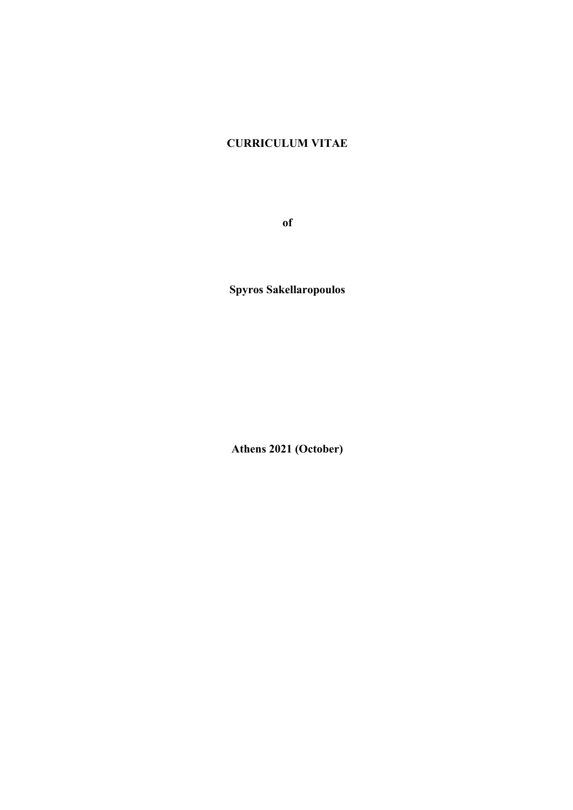# **CURRICULUM VITAE**

**of** 

**Spyros Sakellaropoulos** 

**Athens 2021 (October)**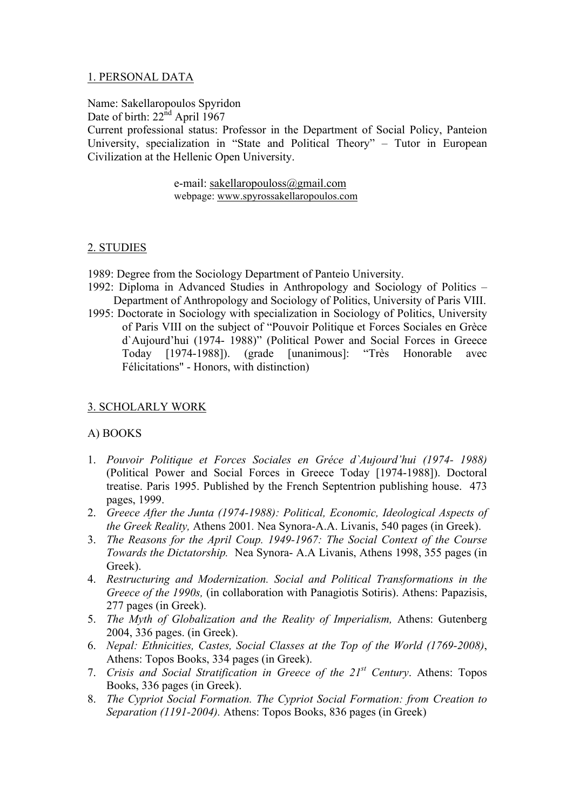# 1. PERSONAL DATA

Name: Sakellaropoulos Spyridon

Date of birth:  $22<sup>nd</sup>$  April 1967

Current professional status: Professor in the Department of Social Policy, Panteion University, specialization in "State and Political Theory" – Tutor in European Civilization at the Hellenic Open University.

> e-mail: sakellaropouloss@gmail.com webpage: www.spyrossakellaropoulos.com

# 2. STUDIES

- 1989: Degree from the Sociology Department of Panteio University.
- 1992: Diploma in Advanced Studies in Anthropology and Sociology of Politics Department of Anthropology and Sociology of Politics, University of Paris VIII.
- 1995: Doctorate in Sociology with specialization in Sociology of Politics, University of Paris VIII on the subject of "Pouvoir Politique et Forces Sociales en Grèce d`Aujourd'hui (1974- 1988)" (Political Power and Social Forces in Greece Today [1974-1988]). (grade [unanimous]: "Très Honorable avec Félicitations" - Honors, with distinction)

# 3. SCHOLARLY WORK

# Α) BOOKS

- 1. *Pouvoir Politique et Forces Sociales en Gréce d`Aujourd'hui (1974- 1988)*  (Political Power and Social Forces in Greece Today [1974-1988]). Doctoral treatise. Paris 1995. Published by the French Septentrion publishing house. 473 pages, 1999.
- 2. *Greece After the Junta (1974-1988): Political, Economic, Ideological Aspects of the Greek Reality,* Αthens 2001*.* Nea Synora-A.A. Livanis, 540 pages (in Greek).
- 3. *Τhe Reasons for the April Coup. 1949-1967: Τhe Social Context of the Course Towards the Dictatorship.* Νea Synora- Α.Α Livanis, Athens 1998, 355 pages (in Greek).
- 4. *Restructuring and Modernization. Social and Political Transformations in the Greece of the 1990s,* (in collaboration with Panagiotis Sotiris). Athens: Papazisis, 277 pages (in Greek).
- 5. *The Myth of Globalization and the Reality of Imperialism,* Αthens: Gutenberg 2004, 336 pages. (in Greek).
- 6. *Nepal: Ethnicities, Castes, Social Classes at the Top of the World (1769-2008)*, Athens: Topos Books, 334 pages (in Greek).
- 7. *Crisis and Social Stratification in Greece of the 21st Century*. Athens: Topos Books, 336 pages (in Greek).
- 8. *The Cypriot Social Formation. The Cypriot Social Formation: from Creation to Separation (1191-2004).* Athens: Topos Books, 836 pages (in Greek)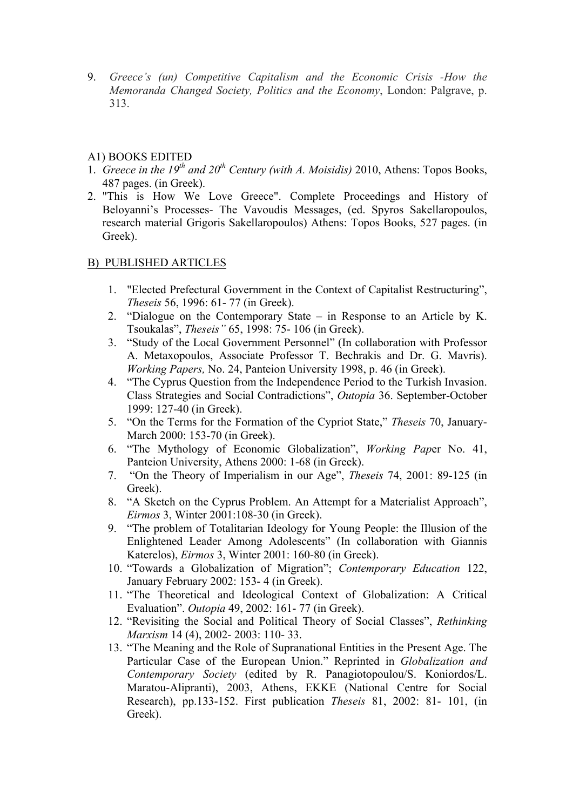9. *Greece's (un) Competitive Capitalism and the Economic Crisis -How the Memoranda Changed Society, Politics and the Economy*, London: Palgrave, p. 313.

# Α1) BOOKS EDITED

- 1. *Greece in the 19th and 20th Century (with A. Moisidis)* 2010, Athens: Topos Books, 487 pages. (in Greek).
- 2. "This is How We Love Greece". Complete Proceedings and History of Beloyanni's Processes- The Vavoudis Messages, (ed. Spyros Sakellaropoulos, research material Grigoris Sakellaropoulos) Athens: Topos Books, 527 pages. (in Greek).

# Β) PUBLISHED ARTICLES

- 1. "Elected Prefectural Government in the Context of Capitalist Restructuring", *Theseis* 56, 1996: 61- 77 (in Greek).
- 2. "Dialogue on the Contemporary State in Response to an Article by K. Tsoukalas", *Theseis"* 65, 1998: 75- 106 (in Greek).
- 3. "Study of the Local Government Personnel" (In collaboration with Professor A. Metaxopoulos, Associate Professor T. Bechrakis and Dr. G. Mavris). *Working Papers,* No. 24, Panteion University 1998, p. 46 (in Greek).
- 4. "The Cyprus Question from the Independence Period to the Turkish Invasion. Class Strategies and Social Contradictions", *Outopia* 36. September-October 1999: 127-40 (in Greek).
- 5. "On the Terms for the Formation of the Cypriot State," *Theseis* 70, January-March 2000: 153-70 (in Greek).
- 6. "The Mythology of Economic Globalization", *Working Pap*er No. 41, Panteion University, Athens 2000: 1-68 (in Greek).
- 7. "On the Theory of Imperialism in our Age", *Theseis* 74, 2001: 89-125 (in Greek).
- 8. "A Sketch on the Cyprus Problem. An Attempt for a Materialist Approach", *Eirmos* 3, Winter 2001:108-30 (in Greek).
- 9. "The problem of Totalitarian Ideology for Young People: the Illusion of the Enlightened Leader Among Adolescents" (In collaboration with Giannis Katerelos), *Eirmos* 3, Winter 2001: 160-80 (in Greek).
- 10. "Towards a Globalization of Migration"; *Contemporary Education* 122, January February 2002: 153- 4 (in Greek).
- 11. "The Theoretical and Ideological Context of Globalization: A Critical Evaluation". *Outopia* 49, 2002: 161- 77 (in Greek).
- 12. "Revisiting the Social and Political Theory of Social Classes", *Rethinking Marxism* 14 (4), 2002- 2003: 110- 33.
- 13. "The Meaning and the Role of Supranational Entities in the Present Age. The Particular Case of the European Union." Reprinted in *Globalization and Contemporary Society* (edited by R. Panagiotopoulou/S. Koniordos/L. Maratou-Alipranti), 2003, Athens, EKKE (National Centre for Social Research), pp.133-152. First publication *Theseis* 81, 2002: 81- 101, (in Greek).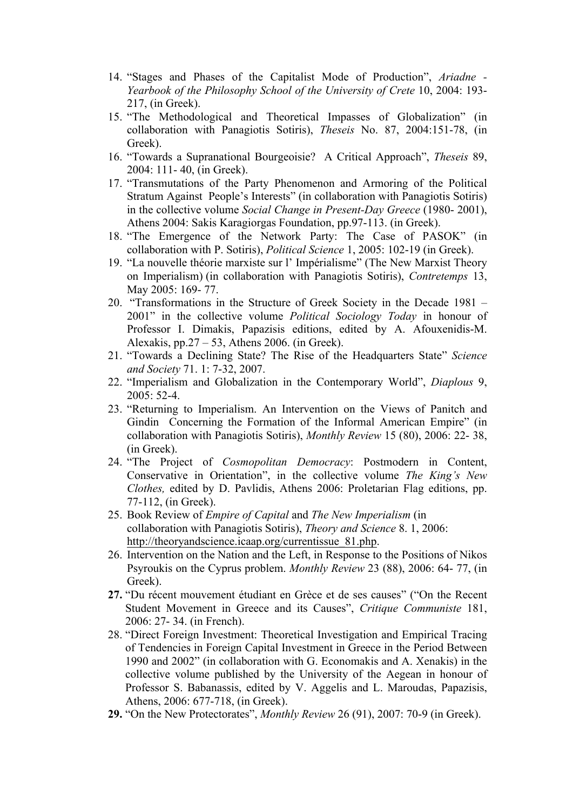- 14. "Stages and Phases of the Capitalist Mode of Production", *Ariadne - Yearbook of the Philosophy School of the University of Crete* 10, 2004: 193- 217, (in Greek).
- 15. "The Methodological and Theoretical Impasses of Globalization" (in collaboration with Panagiotis Sotiris), *Theseis* No. 87, 2004:151-78, (in Greek).
- 16. "Towards a Supranational Bourgeoisie? A Critical Approach", *Theseis* 89, 2004: 111- 40, (in Greek).
- 17. "Transmutations of the Party Phenomenon and Armoring of the Political Stratum Against People's Interests" (in collaboration with Panagiotis Sotiris) in the collective volume *Social Change in Present-Day Greece* (1980- 2001), Athens 2004: Sakis Karagiorgas Foundation, pp.97-113. (in Greek).
- 18. "The Emergence of the Network Party: The Case of PASOK" (in collaboration with P. Sotiris), *Political Science* 1, 2005: 102-19 (in Greek).
- 19. "La nouvelle théorie marxiste sur l' Impérialisme" (The New Marxist Theory on Imperialism) (in collaboration with Panagiotis Sotiris), *Contretemps* 13, May 2005: 169- 77.
- 20. "Transformations in the Structure of Greek Society in the Decade 1981 2001" in the collective volume *Political Sociology Today* in honour of Professor I. Dimakis, Papazisis editions, edited by A. Afouxenidis-M. Alexakis,  $pp.27 - 53$ , Athens 2006. (in Greek).
- 21. "Towards a Declining State? The Rise of the Headquarters State" *Science and Society* 71. 1: 7-32, 2007.
- 22. "Imperialism and Globalization in the Contemporary World", *Diaplous* 9, 2005: 52-4.
- 23. "Returning to Imperialism. An Intervention on the Views of Panitch and Gindin Concerning the Formation of the Informal American Empire" (in collaboration with Panagiotis Sotiris), *Monthly Review* 15 (80), 2006: 22- 38, (in Greek).
- 24. "The Project of *Cosmopolitan Democracy*: Postmodern in Content, Conservative in Orientation", in the collective volume *The King's New Clothes,* edited by D. Pavlidis, Athens 2006: Proletarian Flag editions, pp. 77-112, (in Greek).
- 25. Book Review of *Empire of Capital* and *Τhe New Imperialism* (in collaboration with Panagiotis Sotiris), *Theory and Science* 8. 1, 2006: http://theoryandscience.icaap.org/currentissue\_81.php.
- 26. Intervention on the Nation and the Left, in Response to the Positions of Nikos Psyroukis on the Cyprus problem. *Monthly Review* 23 (88), 2006: 64- 77, (in Greek).
- **27.** "Du récent mouvement étudiant en Grèce et de ses causes" ("On the Recent Student Movement in Greece and its Causes", *Critique Communiste* 181, 2006: 27- 34. (in French).
- 28. "Direct Foreign Investment: Theoretical Investigation and Empirical Tracing of Tendencies in Foreign Capital Investment in Greece in the Period Between 1990 and 2002" (in collaboration with G. Economakis and A. Xenakis) in the collective volume published by the University of the Aegean in honour of Professor S. Babanassis, edited by V. Aggelis and L. Maroudas, Papazisis, Athens, 2006: 677-718, (in Greek).
- **29.** "On the New Protectorates", *Monthly Review* 26 (91), 2007: 70-9 (in Greek).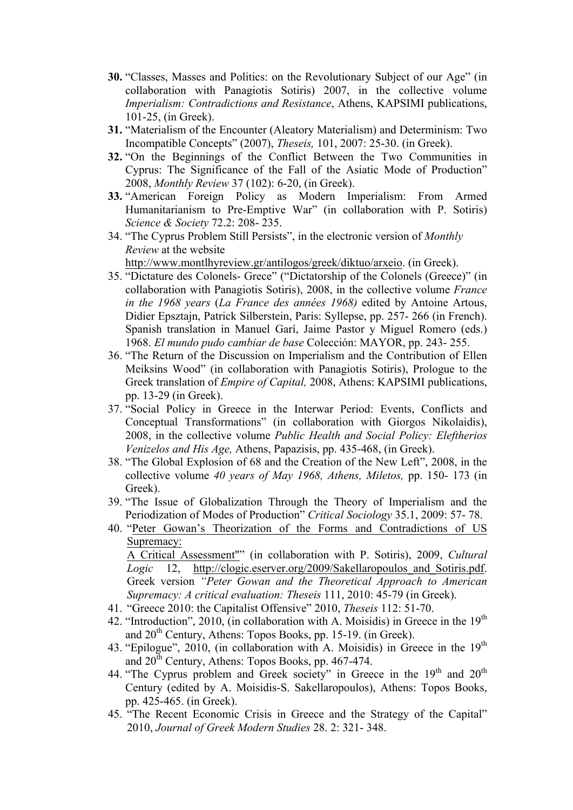- **30.** "Classes, Masses and Politics: on the Revolutionary Subject of our Age" (in collaboration with Panagiotis Sotiris) 2007, in the collective volume *Ιmperialism: Contradictions and Resistance*, Αthens, KAPSIMI publications, 101-25, (in Greek).
- **31.** "Materialism of the Encounter (Aleatory Materialism) and Determinism: Two Incompatible Concepts" (2007), *Theseis,* 101, 2007: 25-30. (in Greek).
- **32.** "On the Beginnings of the Conflict Between the Two Communities in Cyprus: The Significance of the Fall of the Asiatic Mode of Production" 2008, *Monthly Review* 37 (102): 6-20, (in Greek).
- **33.** "American Foreign Policy as Modern Imperialism: From Armed Humanitarianism to Pre-Emptive War" (in collaboration with P. Sotiris) *Science & Society* 72.2: 208- 235.
- 34. "The Cyprus Problem Still Persists", in the electronic version of *Monthly Review* at the website

http://www.montlhyreview.gr/antilogos/greek/diktuo/arxeio. (in Greek).

- 35. "Dictature des Colonels- Grece" ("Dictatorship of the Colonels (Greece)" (in collaboration with Panagiotis Sotiris), 2008, in the collective volume *France in the 1968 years* (*La France des années 1968)* edited by Antoine Artous, Didier Epsztajn, Patrick Silberstein, Paris: Syllepse, pp. 257- 266 (in French). Spanish translation in Manuel Garí, Jaime Pastor y Miguel Romero (eds.) 1968. *El mundo pudo cambiar de base* Colección: MAYOR, pp. 243- 255.
- 36. "The Return of the Discussion on Imperialism and the Contribution of Ellen Meiksins Wood" (in collaboration with Panagiotis Sotiris), Prologue to the Greek translation of *Empire of Capital,* 2008, Αthens: KAPSIMI publications, pp. 13-29 (in Greek).
- 37. "Social Policy in Greece in the Interwar Period: Events, Conflicts and Conceptual Transformations" (in collaboration with Giorgos Nikolaidis), 2008, in the collective volume *Public Health and Social Policy: Eleftherios Venizelos and His Age,* Αthens, Papazisis, pp. 435-468, (in Greek).
- 38. "The Global Explosion of 68 and the Creation of the New Left", 2008, in the collective volume *40 years of May 1968, Athens, Miletos,* pp. 150- 173 (in Greek).
- 39. "The Issue of Globalization Through the Theory of Imperialism and the Periodization of Modes of Production" *Critical Sociology* 35.1, 2009: 57- 78.
- 40. "Peter Gowan's Theorization of the Forms and Contradictions of US Supremacy:

A Critical Assessment"" (in collaboration with P. Sotiris), 2009, *Cultural Logic* 12, http://clogic.eserver.org/2009/Sakellaropoulos\_and\_Sotiris.pdf. Greek version *"Peter Gowan and the Theoretical Approach to American Supremacy: A critical evaluation: Theseis* 111, 2010: 45-79 (in Greek).

- 41. "Greece 2010: the Capitalist Offensive" 2010, *Theseis* 112: 51-70.
- 42. "Introduction", 2010, (in collaboration with A. Moisidis) in Greece in the  $19<sup>th</sup>$ and 20<sup>th</sup> Century, Athens: Topos Books, pp. 15-19. (in Greek).
- 43. "Epilogue", 2010, (in collaboration with A. Moisidis) in Greece in the  $19<sup>th</sup>$ and 20th Century, Athens: Topos Books, pp. 467-474.
- 44. "The Cyprus problem and Greek society" in Greece in the 19<sup>th</sup> and 20<sup>th</sup> Century (edited by A. Moisidis-S. Sakellaropoulos), Athens: Topos Books, pp. 425-465. (in Greek).
- 45. "The Recent Economic Crisis in Greece and the Strategy of the Capital" 2010, *Journal of Greek Modern Studies* 28. 2: 321- 348.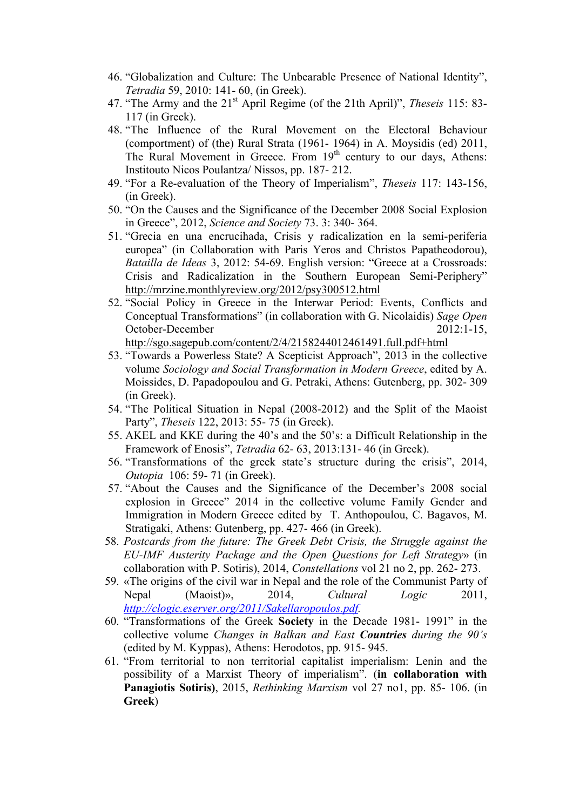- 46. "Globalization and Culture: The Unbearable Presence of National Identity", *Tetradia* 59, 2010: 141- 60, (in Greek).
- 47. "The Army and the 21st April Regime (of the 21th April)", *Theseis* 115: 83- 117 (in Greek).
- 48. "The Influence of the Rural Movement on the Electoral Behaviour (comportment) of (the) Rural Strata (1961- 1964) in A. Moysidis (ed) 2011, The Rural Movement in Greece. From  $19<sup>th</sup>$  century to our days, Athens: Institouto Nicos Poulantza/ Nissos, pp. 187- 212.
- 49. "For a Re-evaluation of the Theory of Imperialism", *Theseis* 117: 143-156, (in Greek).
- 50. "On the Causes and the Significance of the December 2008 Social Explosion in Greece", 2012, *Science and Society* 73. 3: 340- 364.
- 51. "Grecia en una encrucihada, Crisis y radicalization en la semi-periferia europea" (in Collaboration with Paris Yeros and Christos Papatheodorou), *Batailla de Ideas* 3, 2012: 54-69. English version: "Greece at a Crossroads: Crisis and Radicalization in the Southern European Semi-Periphery" http://mrzine.monthlyreview.org/2012/psy300512.html
- 52. "Social Policy in Greece in the Interwar Period: Events, Conflicts and Conceptual Transformations" (in collaboration with G. Nicolaidis) *Sage Open* October-December 2012:1-15, http://sgo.sagepub.com/content/2/4/2158244012461491.full.pdf+html
- 53. "Towards a Powerless State? A Scepticist Approach", 2013 in the collective volume *Sociology and Social Transformation in Modern Greece*, edited by A. Moissides, D. Papadopoulou and G. Petraki, Athens: Gutenberg, pp. 302- 309 (in Greek).
- 54. "The Political Situation in Nepal (2008-2012) and the Split of the Maoist Party", *Theseis* 122, 2013: 55- 75 (in Greek).
- 55. AKEL and KKE during the 40's and the 50's: a Difficult Relationship in the Framework of Enosis", *Tetradia* 62- 63, 2013:131- 46 (in Greek).
- 56. "Transformations of the greek state's structure during the crisis", 2014, *Outopia* 106: 59- 71 (in Greek).
- 57. "About the Causes and the Significance of the December's 2008 social explosion in Greece" 2014 in the collective volume Family Gender and Immigration in Modern Greece edited by T. Anthopoulou, C. Bagavos, M. Stratigaki, Athens: Gutenberg, pp. 427- 466 (in Greek).
- 58. *Postcards from the future: The Greek Debt Crisis, the Struggle against the EU-IMF Austerity Package and the Open Questions for Left Strategy*» (in collaboration with P. Sotiris), 2014, *Constellations* vol 21 no 2, pp. 262- 273.
- 59. «The origins of the civil war in Nepal and the role of the Communist Party of Nepal (Maoist)», 2014, *Cultural Logic* 2011, *http://clogic.eserver.org/2011/Sakellaropoulos.pdf.*
- 60. "Transformations of the Greek **Society** in the Decade 1981- 1991" in the collective volume *Changes in Balkan and East Countries during the 90's* (edited by M. Kyppas), Athens: Herodotos, pp. 915- 945.
- 61. "From territorial to non territorial capitalist imperialism: Lenin and the possibility of a Marxist Theory of imperialism". (**in collaboration with Panagiotis Sotiris)**, 2015, *Rethinking Marxism* vol 27 no1, pp. 85- 106. (in **Greek**)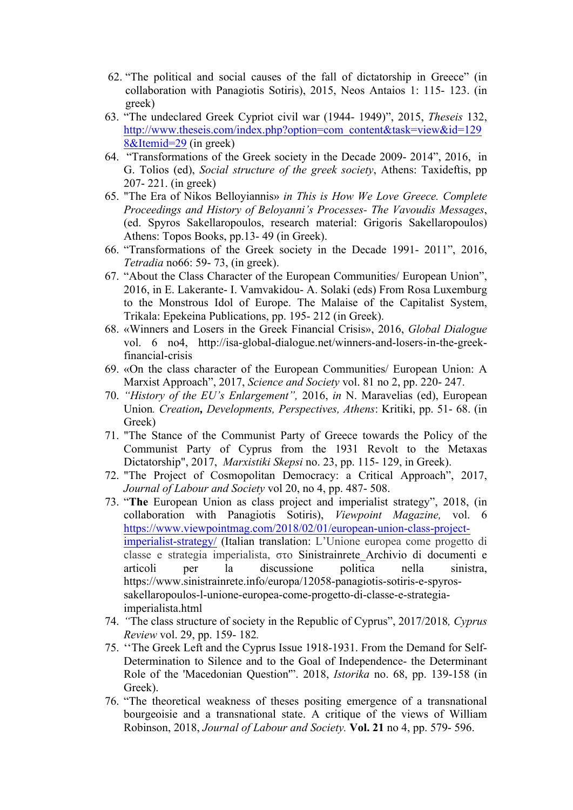- 62. "The political and social causes of the fall of dictatorship in Greece" (in collaboration with Panagiotis Sotiris), 2015, Neos Antaios 1: 115- 123. (in greek)
- 63. "The undeclared Greek Cypriot civil war (1944- 1949)", 2015, *Theseis* 132, http://www.theseis.com/index.php?option=com\_content&task=view&id=129 8&Itemid=29 (in greek)
- 64. "Transformations of the Greek society in the Decade 2009- 2014", 2016, in G. Tolios (ed), *Social structure of the greek society*, Athens: Taxideftis, pp 207- 221. (in greek)
- 65. "The Era of Nikos Belloyiannis» *in This is How We Love Greece. Complete Proceedings and History of Beloyanni's Processes- The Vavoudis Messages*, (ed. Spyros Sakellaropoulos, research material: Grigoris Sakellaropoulos) Athens: Topos Books, pp.13- 49 (in Greek).
- 66. "Transformations of the Greek society in the Decade 1991- 2011", 2016, *Tetradia* no66: 59- 73, (in greek).
- 67. "About the Class Character of the European Communities/ European Union", 2016, in Ε. Lakerante- Ι. Vamvakidou- Α. Solaki (eds) From Rosa Luxemburg to the Monstrous Idol of Europe. The Malaise of the Capitalist System, Trikala: Epekeina Publications, pp. 195- 212 (in Greek).
- 68. «Winners and Losers in the Greek Financial Crisis», 2016, *Global Dialogue* vol. 6 no4, http://isa-global-dialogue.net/winners-and-losers-in-the-greekfinancial-crisis
- 69. «On the class character of the European Communities/ European Union: A Marxist Approach", 2017, *Science and Society* vol. 81 no 2, pp. 220- 247.
- 70. *"History of the EU's Enlargement",* 2016, *in* N. Maravelias (ed), European Union*. Creation, Developments, Perspectives, Athens*: Kritiki, pp. 51- 68. (in Greek)
- 71. "The Stance of the Communist Party of Greece towards the Policy of the Communist Party of Cyprus from the 1931 Revolt to the Metaxas Dictatorship", 2017, *Marxistiki Skepsi* no. 23, pp. 115- 129, in Greek).
- 72. "The Project of Cosmopolitan Democracy: a Critical Approach", 2017, *Journal of Labour and Society* vol 20, no 4, pp. 487- 508.
- 73. "**The** European Union as class project and imperialist strategy", 2018, (in collaboration with Panagiotis Sotiris), *Viewpoint Magazine,* vol. 6 https://www.viewpointmag.com/2018/02/01/european-union-class-projectimperialist-strategy/ (Italian translation: L'Unione europea come progetto di classe e strategia imperialista, στο Sinistrainrete Archivio di documenti e articoli per la discussione politica nella sinistra, https://www.sinistrainrete.info/europa/12058-panagiotis-sotiris-e-spyrossakellaropoulos-l-unione-europea-come-progetto-di-classe-e-strategiaimperialista.html
- 74. *"*The class structure of society in the Republic of Cyprus", 2017/2018*, Cyprus Review* vol. 29, pp. 159- 182*.*
- 75. ''The Greek Left and the Cyprus Issue 1918-1931. From the Demand for Self-Determination to Silence and to the Goal of Independence- the Determinant Role of the 'Macedonian Question'". 2018, *Istorika* no. 68, pp. 139-158 (in Greek).
- 76. "The theoretical weakness of theses positing emergence of a transnational bourgeoisie and a transnational state. A critique of the views of William Robinson, 2018, *Journal of Labour and Society.* **Vol. 21** no 4, pp. 579- 596.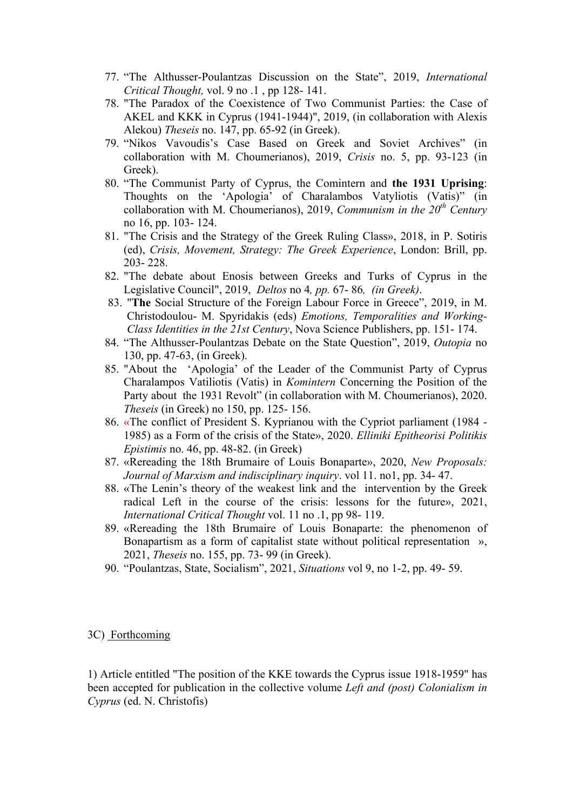- 77. "The Althusser-Poulantzas Discussion on the State", 2019, *International Critical Thought,* vol. 9 no .1 , pp 128- 141.
- 78. "The Paradox of the Coexistence of Two Communist Parties: the Case of AKEL and KKK in Cyprus (1941-1944)", 2019, (in collaboration with Alexis Alekou) *Theseis* no. 147, pp. 65-92 (in Greek).
- 79. "Nikos Vavoudis's Case Based on Greek and Soviet Archives" (in collaboration with M. Choumerianos), 2019, *Crisis* no. 5, pp. 93-123 (in Greek).
- 80. "The Communist Party of Cyprus, the Comintern and **the 1931 Uprising**: Thoughts on the 'Apologia' of Charalambos Vatyliotis (Vatis)" (in collaboration with M. Choumerianos), 2019, *Communism in the 20th Century* no 16, pp. 103- 124.
- 81. "The Crisis and the Strategy of the Greek Ruling Class», 2018, in P. Sotiris (ed), *Crisis, Movement, Strategy: The Greek Experience*, London: Brill, pp. 203- 228.
- 82. "The debate about Enosis between Greeks and Turks of Cyprus in the Legislative Council", 2019, *Deltos* no 4*, pp.* 67- 86*, (in Greek)*.
- 83. "**The** Social Structure of the Foreign Labour Force in Greece", 2019, in M. Christodoulou- M. Spyridakis (eds) *Emotions, Temporalities and Working-Class Identities in the 21st Century*, Nova Science Publishers, pp. 151- 174.
- 84. "The Althusser-Poulantzas Debate on the State Question", 2019, *Outopia* no 130, pp. 47-63, (in Greek).
- 85. "About the 'Apologia' of the Leader of the Communist Party of Cyprus Charalampos Vatiliotis (Vatis) in *Komintern* Concerning the Position of the Party about the 1931 Revolt" (in collaboration with M. Choumerianos), 2020. *Theseis* (in Greek) no 150, pp. 125- 156.
- 86. «The conflict of President S. Kyprianou with the Cypriot parliament (1984 1985) as a Form of the crisis of the State», 2020. *Elliniki Epitheorisi Politikis Epistimis* no. 46, pp. 48-82. (in Greek)
- 87. «Rereading the 18th Brumaire of Louis Bonaparte», 2020, *New Proposals: Journal of Marxism and indisciplinary inquiry*. vol 11. no1, pp. 34- 47.
- 88. «The Lenin's theory of the weakest link and the intervention by the Greek radical Left in the course of the crisis: lessons for the future», 2021, *International Critical Thought* vol. 11 no .1, pp 98- 119.
- 89. «Rereading the 18th Brumaire of Louis Bonaparte: the phenomenon of Bonapartism as a form of capitalist state without political representation », 2021, *Theseis* no. 155, pp. 73- 99 (in Greek).
- 90. "Poulantzas, State, Socialism", 2021, *Situations* vol 9, no 1-2, pp. 49- 59.

#### 3C) Forthcoming

1) Article entitled "The position of the KKE towards the Cyprus issue 1918-1959" has been accepted for publication in the collective volume *Left and (post) Colonialism in Cyprus* (ed. N. Christofis)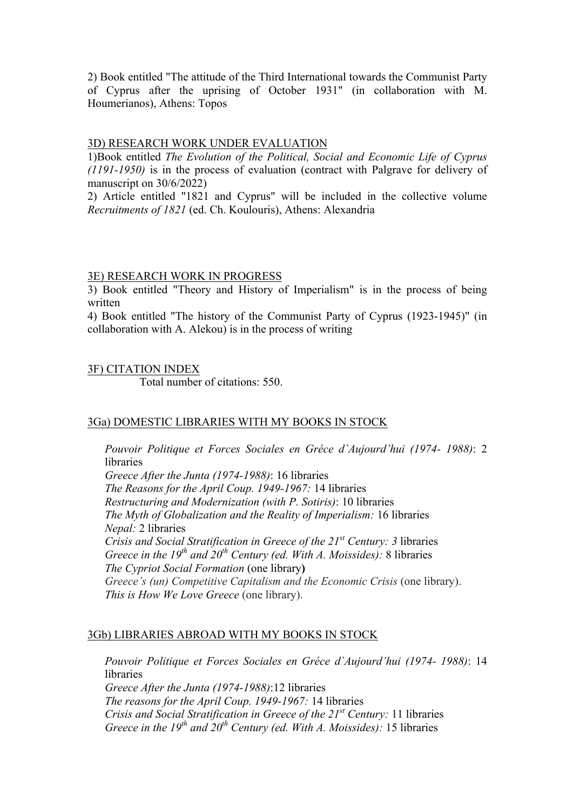2) Book entitled "The attitude of the Third International towards the Communist Party of Cyprus after the uprising of October 1931" (in collaboration with M. Houmerianos), Athens: Topos

#### 3D) RESEARCH WORK UNDER EVALUATION

1)Book entitled *The Evolution of the Political, Social and Economic Life of Cyprus (1191-1950)* is in the process of evaluation (contract with Palgrave for delivery of manuscript on 30/6/2022)

2) Article entitled "1821 and Cyprus" will be included in the collective volume *Recruitments of 1821* (ed. Ch. Koulouris), Athens: Alexandria

#### 3E) RESEARCH WORK IN PROGRESS

3) Book entitled "Theory and History of Imperialism" is in the process of being written

4) Book entitled "The history of the Communist Party of Cyprus (1923-1945)" (in collaboration with A. Alekou) is in the process of writing

#### 3F) CITATION INDEX

Total number of citations: 550.

#### 3Ga) DOMESTIC LIBRARIES WITH MY BOOKS IN STOCK

*Pouvoir Politique et Forces Sociales en Gréce d`Aujourd'hui (1974- 1988)*: 2 libraries

*Greece After the Junta (1974-1988)*: 16 libraries *Τhe Reasons for the April Coup. 1949-1967:* 14 libraries *Restructuring and Modernization (with P. Sotiris)*: 10 libraries *The Myth of Globalization and the Reality of Imperialism:* 16 libraries *Nepal:* 2 libraries *Crisis and Social Stratification in Greece of the 21st Century: 3* libraries *Greece in the 19<sup>th</sup> and 20<sup>th</sup> Century (ed. With A. Moissides): 8 libraries The Cypriot Social Formation* (one library**)** *Greece's (un) Competitive Capitalism and the Economic Crisis* (one library). *This is How We Love Greece* (one library).

#### 3Gb) LIBRARIES ABROAD WITH MY BOOKS IN STOCK

*Pouvoir Politique et Forces Sociales en Gréce d`Aujourd'hui (1974- 1988)*: 14 libraries *Greece After the Junta (1974-1988)*:12 libraries *Τhe reasons for the April Coup. 1949-1967:* 14 libraries *Crisis and Social Stratification in Greece of the 21st Century:* 11 libraries *Greece in the 19th and 20th Century (ed. With A. Moissides):* 15 libraries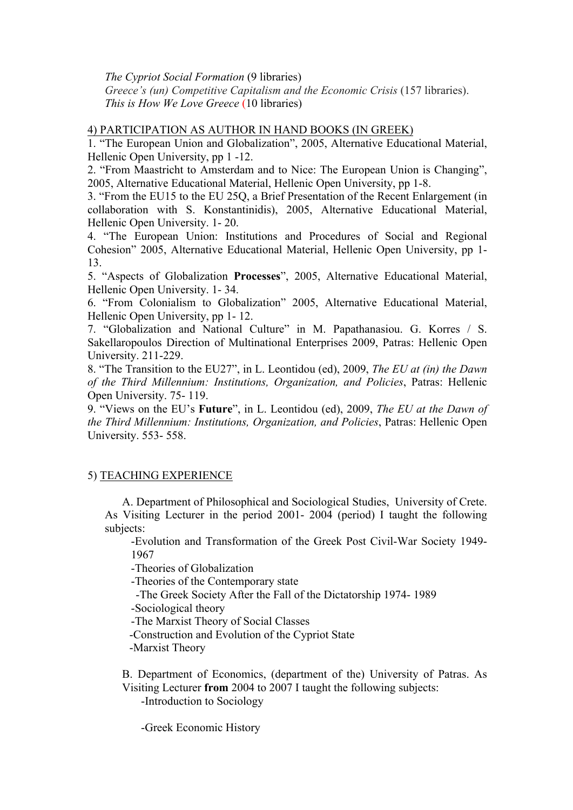*The Cypriot Social Formation* (9 libraries) *Greece's (un) Competitive Capitalism and the Economic Crisis (157 libraries). This is How We Love Greece* (10 libraries)

### 4) PARTICIPATION AS AUTHOR IN HAND BOOKS (IN GREEK)

1. "The European Union and Globalization", 2005, Alternative Educational Material, Hellenic Open University, pp 1 -12.

2. "From Maastricht to Amsterdam and to Nice: The European Union is Changing", 2005, Alternative Educational Material, Hellenic Open University, pp 1-8.

3. "From the EU15 to the EU 25Q, a Brief Presentation of the Recent Enlargement (in collaboration with S. Konstantinidis), 2005, Alternative Educational Material, Hellenic Open University. 1- 20.

4. "The European Union: Institutions and Procedures of Social and Regional Cohesion" 2005, Alternative Educational Material, Hellenic Open University, pp 1- 13.

5. "Aspects of Globalization **Processes**", 2005, Alternative Educational Material, Hellenic Open University. 1- 34.

6. "From Colonialism to Globalization" 2005, Alternative Educational Material, Hellenic Open University, pp 1- 12.

7. "Globalization and National Culture" in M. Papathanasiou. G. Korres / S. Sakellaropoulos Direction of Multinational Enterprises 2009, Patras: Hellenic Open University. 211-229.

8. "The Transition to the EU27", in L. Leontidou (ed), 2009, *The EU at (in) the Dawn of the Third Millennium: Institutions, Organization, and Policies*, Patras: Hellenic Open University. 75- 119.

9. "Views on the EU's **Future**", in L. Leontidou (ed), 2009, *The EU at the Dawn of the Third Millennium: Institutions, Organization, and Policies*, Patras: Hellenic Open University. 553- 558.

#### 5) TEACHING EXPERIENCE

Α. Department of Philosophical and Sociological Studies, University of Crete. As Visiting Lecturer in the period 2001- 2004 (period) I taught the following subjects:

-Evolution and Transformation of the Greek Post Civil-War Society 1949- 1967

-Theories of Globalization

-Theories of the Contemporary state

-The Greek Society After the Fall of the Dictatorship 1974- 1989

-Sociological theory

-The Marxist Theory of Social Classes

-Construction and Evolution of the Cypriot State

-Marxist Theory

Β. Department of Economics, (department of the) University of Patras. As Visiting Lecturer **from** 2004 to 2007 I taught the following subjects:

-Introduction to Sociology

-Greek Economic History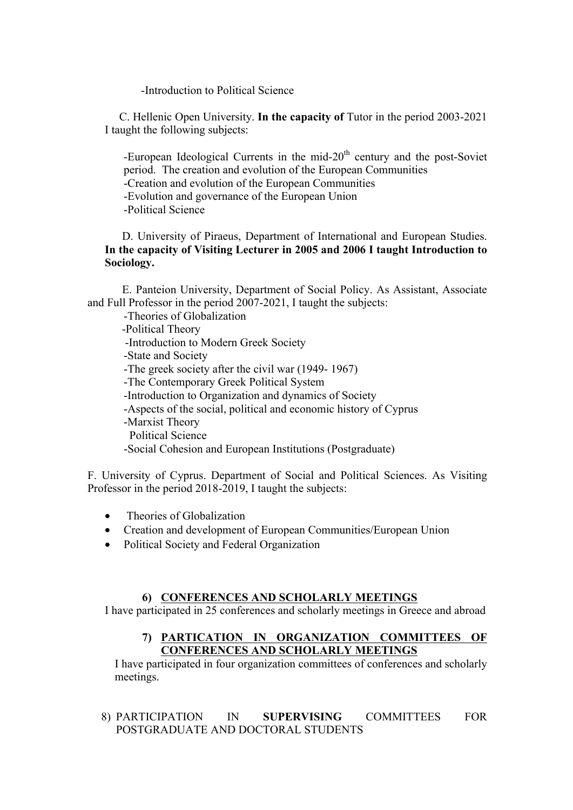-Introduction to Political Science

 C. Hellenic Open University. **In the capacity of** Tutor in the period 2003-2021 I taught the following subjects:

-European Ideological Currents in the mid- $20<sup>th</sup>$  century and the post-Soviet period. The creation and evolution of the European Communities -Creation and evolution of the European Communities -Evolution and governance of the European Union -Political Science

D. University of Piraeus, Department of International and European Studies. **In the capacity of Visiting Lecturer in 2005 and 2006 I taught Introduction to Sociology.**

 E. Panteion University, Department of Social Policy. As Assistant, Associate and Full Professor in the period 2007-2021, I taught the subjects:

-Theories of Globalization

 -Political Theory -Introduction to Modern Greek Society -State and Society -The greek society after the civil war (1949- 1967) -The Contemporary Greek Political System -Introduction to Organization and dynamics of Society -Aspects of the social, political and economic history of Cyprus -Marxist Theory Political Science -Social Cohesion and European Institutions (Postgraduate)

F. University of Cyprus. Department of Social and Political Sciences. As Visiting Professor in the period 2018-2019, I taught the subjects:

- Theories of Globalization
- Creation and development of European Communities/European Union
- Political Society and Federal Organization

# **6) CONFERENCES AND SCHOLARLY MEETINGS**

I have participated in 25 conferences and scholarly meetings in Greece and abroad

#### **7) PARTICATION IN ORGANIZATION COMMITTEES OF CONFERENCES AND SCHOLARLY MEETINGS**

I have participated in four organization committees of conferences and scholarly meetings.

8) PARTICIPATION IN **SUPERVISING** COMMITTEES FOR POSTGRADUATE AND DOCTORAL STUDENTS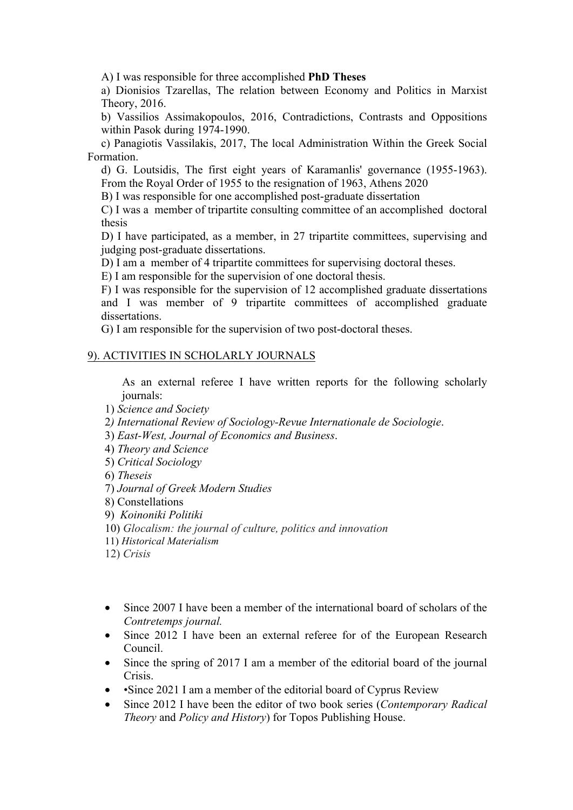Α) I was responsible for three accomplished **PhD Theses**

a) Dionisios Tzarellas, The relation between Economy and Politics in Marxist Theory, 2016.

b) Vassilios Assimakopoulos, 2016, Contradictions, Contrasts and Oppositions within Pasok during 1974-1990.

c) Panagiotis Vassilakis, 2017, The local Administration Within the Greek Social Formation.

d) G. Loutsidis, The first eight years of Karamanlis' governance (1955-1963). From the Royal Order of 1955 to the resignation of 1963, Athens 2020

B) I was responsible for one accomplished post-graduate dissertation

C) I was a member of tripartite consulting committee of an accomplished doctoral thesis

D) I have participated, as a member, in 27 tripartite committees, supervising and judging post-graduate dissertations.

D) I am a member of 4 tripartite committees for supervising doctoral theses.

E) I am responsible for the supervision of one doctoral thesis.

F) I was responsible for the supervision of 12 accomplished graduate dissertations and I was member of 9 tripartite committees of accomplished graduate dissertations.

G) I am responsible for the supervision of two post-doctoral theses.

# 9). ACTIVITIES IN SCHOLARLY JOURNALS

As an external referee I have written reports for the following scholarly journals:

1) *Science and Society*

2*) International Review of Sociology-Revue Internationale de Sociologie*.

3) *East-West, Journal of Economics and Business*.

4) *Theory and Science*

5) *Critical Sociology*

6) *Theseis* 

7) *Journal of Greek Modern Studies*

8) Constellations

9) *Koinoniki Politiki*

10) *Glocalism: the journal of culture, politics and innovation*

11) *Historical Materialism*

12) *Crisis*

- Since 2007 I have been a member of the international board of scholars of the *Contretemps journal.*
- Since 2012 I have been an external referee for of the European Research Council.
- Since the spring of 2017 I am a member of the editorial board of the journal Crisis.
- •Since 2021 I am a member of the editorial board of Cyprus Review
- Since 2012 I have been the editor of two book series (*Contemporary Radical Theory* and *Policy and History*) for Topos Publishing House.